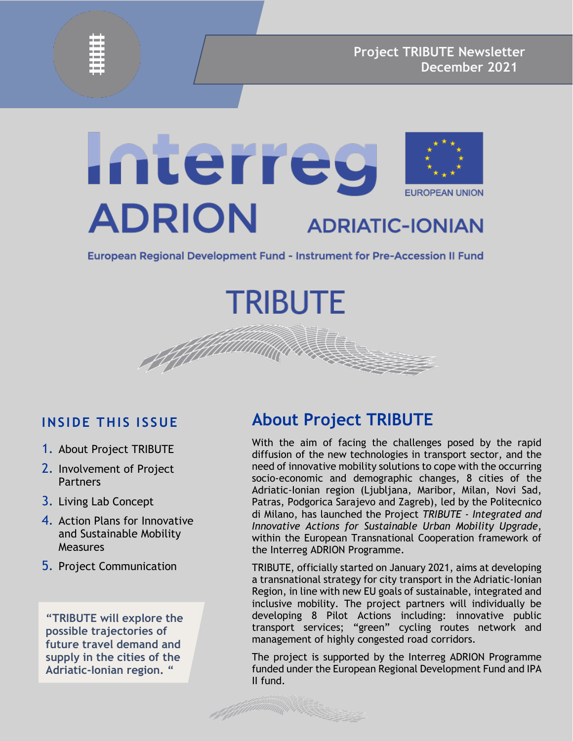

# Interreg **EUROPEAN UNION ADRION ADRIATIC-IONIAN**

European Regional Development Fund - Instrument for Pre-Accession II Fund

**TRIBUTE** 

**INSIDE THIS ISSUE**

- 1. About Project TRIBUTE
- 2. Involvement of Project Partners
- 3. Living Lab Concept
- 4. Action Plans for Innovative and Sustainable Mobility **Measures**
- 5. Project Communication

**"TRIBUTE will explore the possible trajectories of future travel demand and supply in the cities of the Adriatic-Ionian region. "**

#### **About Project TRIBUTE**

With the aim of facing the challenges posed by the rapid diffusion of the new technologies in transport sector, and the need of innovative mobility solutions to cope with the occurring socio-economic and demographic changes, 8 cities of the Adriatic-Ionian region (Ljubljana, Maribor, Milan, Novi Sad, Patras, Podgorica Sarajevo and Zagreb), led by the Politecnico di Milano, has launched the Project *TRIBUTE - Integrated and Innovative Actions for Sustainable Urban Mobility Upgrade*, within the European Transnational Cooperation framework of the Interreg ADRION Programme.

TRIBUTE, officially started on January 2021, aims at developing a transnational strategy for city transport in the Adriatic-Ionian Region, in line with new EU goals of sustainable, integrated and inclusive mobility. The project partners will individually be developing 8 Pilot Actions including: innovative public transport services; "green" cycling routes network and management of highly congested road corridors.

The project is supported by the Interreg ADRION Programme funded under the European Regional Development Fund and IPA II fund.

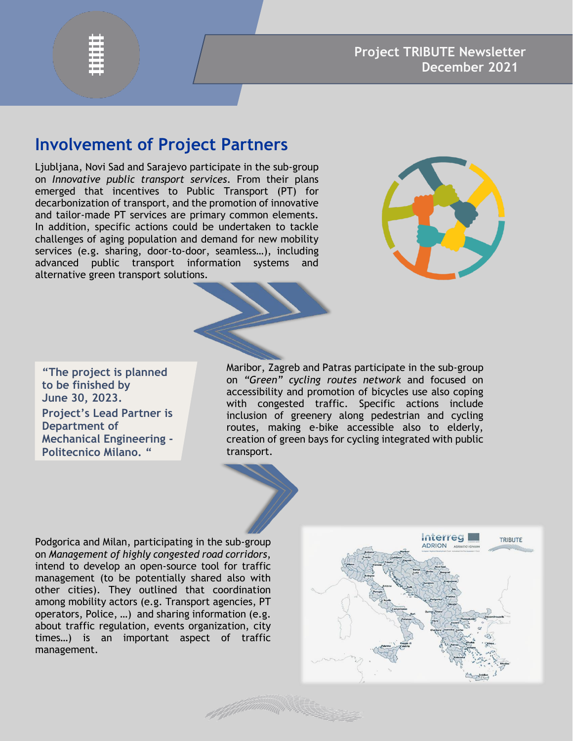#### **Involvement of Project Partners**

Ljubljana, Novi Sad and Sarajevo participate in the sub-group on *Innovative public transport services*. From their plans emerged that incentives to Public Transport (PT) for decarbonization of transport, and the promotion of innovative and tailor-made PT services are primary common elements. In addition, specific actions could be undertaken to tackle challenges of aging population and demand for new mobility services (e.g. sharing, door-to-door, seamless…), including advanced public transport information systems and alternative green transport solutions.



**"The project is planned to be finished by June 30, 2023. Project's Lead Partner is Department of Mechanical Engineering - Politecnico Milano. "**

Maribor, Zagreb and Patras participate in the sub-group on *"Green" cycling routes network* and focused on accessibility and promotion of bicycles use also coping with congested traffic. Specific actions include inclusion of greenery along pedestrian and cycling routes, making e-bike accessible also to elderly, creation of green bays for cycling integrated with public transport.

Podgorica and Milan, participating in the sub-group on *Management of highly congested road corridors*, intend to develop an open-source tool for traffic management (to be potentially shared also with other cities). They outlined that coordination among mobility actors (e.g. Transport agencies, PT operators, Police, …) and sharing information (e.g. about traffic regulation, events organization, city times…) is an important aspect of traffic management.

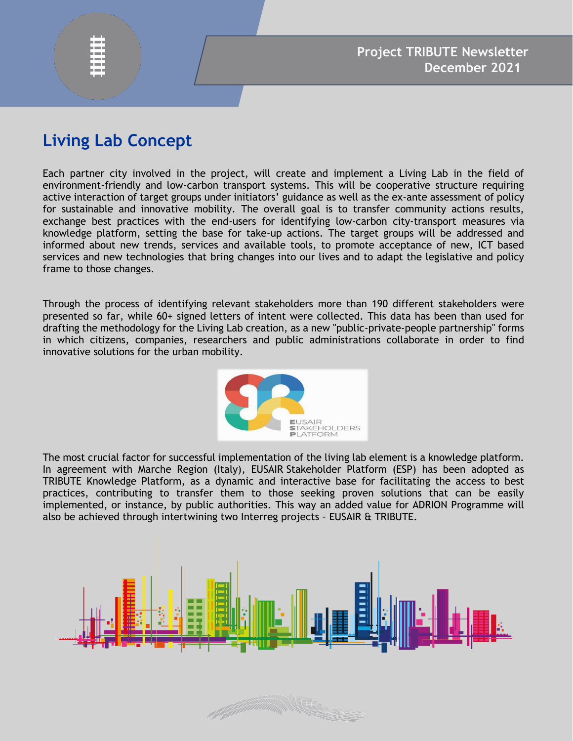## **Living Lab Concept**

Each partner city involved in the project, will create and implement a Living Lab in the field of environment-friendly and low-carbon transport systems. This will be cooperative structure requiring active interaction of target groups under initiators' guidance as well as the ex-ante assessment of policy for sustainable and innovative mobility. The overall goal is to transfer community actions results, exchange best practices with the end-users for identifying low-carbon city-transport measures via knowledge platform, setting the base for take-up actions. The target groups will be addressed and informed about new trends, services and available tools, to promote acceptance of new, ICT based services and new technologies that bring changes into our lives and to adapt the legislative and policy frame to those changes.

Through the process of identifying relevant stakeholders more than 190 different stakeholders were presented so far, while 60+ signed letters of intent were collected. This data has been than used for drafting the methodology for the Living Lab creation, as a new "public-private-people partnership" forms in which citizens, companies, researchers and public administrations collaborate in order to find innovative solutions for the urban mobility.



The most crucial factor for successful implementation of the living lab element is a knowledge platform. In agreement with Marche Region (Italy), EUSAIR Stakeholder Platform (ESP) has been adopted as TRIBUTE Knowledge Platform, as a dynamic and interactive base for facilitating the access to best practices, contributing to transfer them to those seeking proven solutions that can be easily implemented, or instance, by public authorities. This way an added value for ADRION Programme will also be achieved through intertwining two Interreg projects – EUSAIR & TRIBUTE.



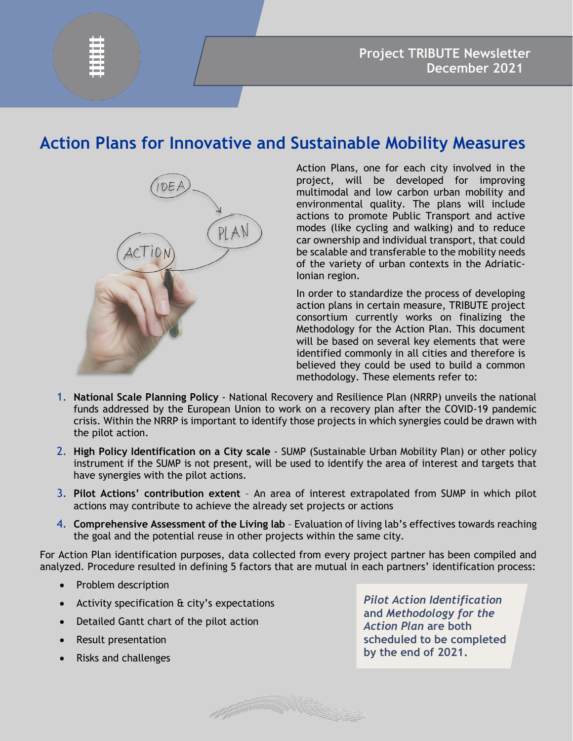## **Action Plans for Innovative and Sustainable Mobility Measures**



Action Plans, one for each city involved in the project, will be developed for improving multimodal and low carbon urban mobility and environmental quality. The plans will include actions to promote Public Transport and active modes (like cycling and walking) and to reduce car ownership and individual transport, that could be scalable and transferable to the mobility needs of the variety of urban contexts in the Adriatic-Ionian region.

In order to standardize the process of developing action plans in certain measure, TRIBUTE project consortium currently works on finalizing the Methodology for the Action Plan. This document will be based on several key elements that were identified commonly in all cities and therefore is believed they could be used to build a common methodology. These elements refer to:

- 1. **National Scale Planning Policy** National Recovery and Resilience Plan (NRRP) unveils the national funds addressed by the European Union to work on a recovery plan after the COVID-19 pandemic crisis. Within the NRRP is important to identify those projects in which synergies could be drawn with the pilot action.
- 2. **High Policy Identification on a City scale** SUMP (Sustainable Urban Mobility Plan) or other policy instrument if the SUMP is not present, will be used to identify the area of interest and targets that have synergies with the pilot actions.
- 3. **Pilot Actions' contribution extent** An area of interest extrapolated from SUMP in which pilot actions may contribute to achieve the already set projects or actions
- 4. **Comprehensive Assessment of the Living lab** Evaluation of living lab's effectives towards reaching the goal and the potential reuse in other projects within the same city.

For Action Plan identification purposes, data collected from every project partner has been compiled and analyzed. Procedure resulted in defining 5 factors that are mutual in each partners' identification process:

- Problem description
- Activity specification & city's expectations
- Detailed Gantt chart of the pilot action
- Result presentation
- Risks and challenges

*Pilot Action Identification* **and** *Methodology for the Action Plan* **are both scheduled to be completed by the end of 2021.**